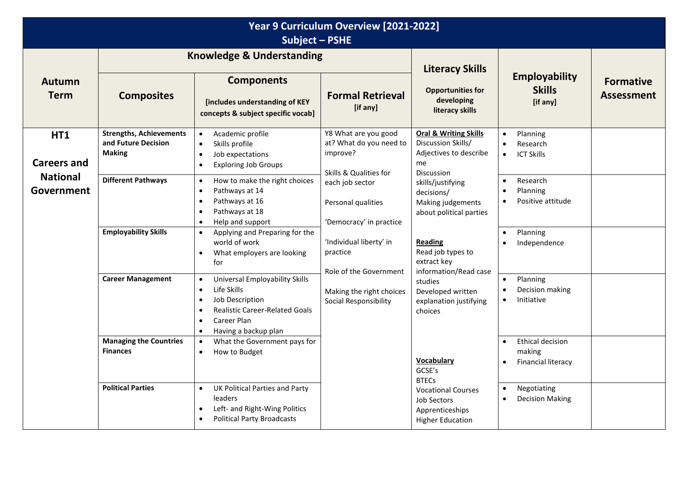| Year 9 Curriculum Overview [2021-2022]<br><b>Subject - PSHE</b> |                                                                        |                                                                                                                                                                                                                                |                                                                                                                                                                                        |                                                                                                             |                                                                                          |                                       |  |
|-----------------------------------------------------------------|------------------------------------------------------------------------|--------------------------------------------------------------------------------------------------------------------------------------------------------------------------------------------------------------------------------|----------------------------------------------------------------------------------------------------------------------------------------------------------------------------------------|-------------------------------------------------------------------------------------------------------------|------------------------------------------------------------------------------------------|---------------------------------------|--|
|                                                                 |                                                                        | <b>Knowledge &amp; Understanding</b>                                                                                                                                                                                           |                                                                                                                                                                                        | <b>Literacy Skills</b>                                                                                      |                                                                                          |                                       |  |
| <b>Autumn</b><br><b>Term</b>                                    | <b>Composites</b>                                                      | <b>Components</b><br>[includes understanding of KEY<br>concepts & subject specific vocab]                                                                                                                                      | <b>Formal Retrieval</b><br>[if any]                                                                                                                                                    | <b>Opportunities for</b><br>developing<br>literacy skills                                                   | <b>Employability</b><br><b>Skills</b><br>[if any]                                        | <b>Formative</b><br><b>Assessment</b> |  |
| HT1<br><b>Careers and</b>                                       | <b>Strengths, Achievements</b><br>and Future Decision<br><b>Making</b> | Academic profile<br>$\bullet$<br>Skills profile<br>$\bullet$<br>Job expectations<br>$\bullet$<br><b>Exploring Job Groups</b><br>$\bullet$                                                                                      | Y8 What are you good<br>at? What do you need to<br>improve?<br>Skills & Qualities for                                                                                                  | <b>Oral &amp; Writing Skills</b><br>Discussion Skills/<br>Adjectives to describe<br>me<br><b>Discussion</b> | Planning<br>$\bullet$<br>Research<br><b>ICT Skills</b><br>$\bullet$                      |                                       |  |
| <b>National</b><br>Government                                   | <b>Different Pathways</b>                                              | How to make the right choices<br>$\bullet$<br>Pathways at 14<br>$\bullet$<br>Pathways at 16<br>$\bullet$<br>Pathways at 18<br>$\bullet$<br>Help and support<br>$\bullet$                                                       | each job sector<br>Personal qualities<br>'Democracy' in practice<br>'Individual liberty' in<br>practice<br>Role of the Government<br>Making the right choices<br>Social Responsibility | skills/justifying<br>decisions/<br>Making judgements<br>about political parties                             | Research<br>$\bullet$<br>Planning<br>$\bullet$<br>Positive attitude                      |                                       |  |
|                                                                 | <b>Employability Skills</b>                                            | Applying and Preparing for the<br>$\bullet$<br>world of work<br>What employers are looking<br>$\bullet$<br>for                                                                                                                 |                                                                                                                                                                                        | <b>Reading</b><br>Read job types to<br>extract key<br>information/Read case                                 | Planning<br>Independence                                                                 |                                       |  |
|                                                                 | <b>Career Management</b>                                               | Universal Employability Skills<br>$\bullet$<br>Life Skills<br>$\bullet$<br>Job Description<br>$\bullet$<br><b>Realistic Career-Related Goals</b><br>$\bullet$<br>Career Plan<br>$\bullet$<br>Having a backup plan<br>$\bullet$ |                                                                                                                                                                                        | studies<br>Developed written<br>explanation justifying<br>choices                                           | Planning<br>$\bullet$<br>Decision making<br>Initiative<br>$\bullet$                      |                                       |  |
|                                                                 | <b>Managing the Countries</b><br><b>Finances</b>                       | What the Government pays for<br>$\bullet$<br>How to Budget<br>$\bullet$                                                                                                                                                        |                                                                                                                                                                                        | Vocabulary<br>GCSE's<br><b>BTECs</b>                                                                        | <b>Ethical decision</b><br>$\bullet$<br>making<br><b>Financial literacy</b><br>$\bullet$ |                                       |  |
|                                                                 | <b>Political Parties</b>                                               | UK Political Parties and Party<br>$\bullet$<br>leaders<br>Left- and Right-Wing Politics<br>$\bullet$<br><b>Political Party Broadcasts</b><br>$\bullet$                                                                         |                                                                                                                                                                                        | <b>Vocational Courses</b><br>Job Sectors<br>Apprenticeships<br><b>Higher Education</b>                      | Negotiating<br>$\bullet$<br><b>Decision Making</b><br>$\bullet$                          |                                       |  |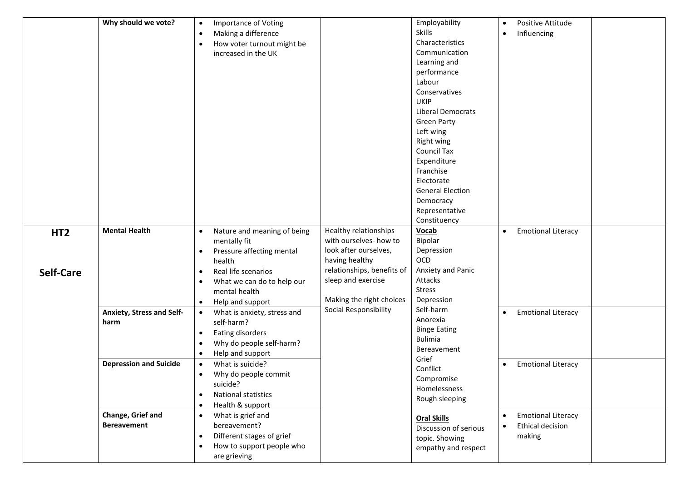|                                     | Why should we vote?                      | <b>Importance of Voting</b><br>$\bullet$<br>Making a difference<br>$\bullet$<br>How voter turnout might be<br>$\bullet$<br>increased in the UK                                                                                                |                                                                                                                                                                            | Employability<br><b>Skills</b><br>Characteristics<br>Communication<br>Learning and<br>performance<br>Labour<br>Conservatives<br><b>UKIP</b><br>Liberal Democrats<br><b>Green Party</b><br>Left wing<br>Right wing<br><b>Council Tax</b><br>Expenditure<br>Franchise<br>Electorate<br><b>General Election</b><br>Democracy<br>Representative<br>Constituency | Positive Attitude<br>$\bullet$<br>Influencing<br>$\bullet$                  |  |
|-------------------------------------|------------------------------------------|-----------------------------------------------------------------------------------------------------------------------------------------------------------------------------------------------------------------------------------------------|----------------------------------------------------------------------------------------------------------------------------------------------------------------------------|-------------------------------------------------------------------------------------------------------------------------------------------------------------------------------------------------------------------------------------------------------------------------------------------------------------------------------------------------------------|-----------------------------------------------------------------------------|--|
| HT <sub>2</sub><br><b>Self-Care</b> | <b>Mental Health</b>                     | Nature and meaning of being<br>$\bullet$<br>mentally fit<br>Pressure affecting mental<br>$\bullet$<br>health<br>Real life scenarios<br>$\bullet$<br>What we can do to help our<br>$\bullet$<br>mental health<br>Help and support<br>$\bullet$ | Healthy relationships<br>with ourselves- how to<br>look after ourselves,<br>having healthy<br>relationships, benefits of<br>sleep and exercise<br>Making the right choices | Vocab<br>Bipolar<br>Depression<br>OCD<br>Anxiety and Panic<br>Attacks<br><b>Stress</b><br>Depression                                                                                                                                                                                                                                                        | <b>Emotional Literacy</b><br>$\bullet$                                      |  |
|                                     | <b>Anxiety, Stress and Self-</b><br>harm | What is anxiety, stress and<br>$\bullet$<br>self-harm?<br>Eating disorders<br>$\bullet$<br>Why do people self-harm?<br>$\bullet$<br>Help and support<br>$\bullet$                                                                             | Social Responsibility                                                                                                                                                      | Self-harm<br>Anorexia<br><b>Binge Eating</b><br><b>Bulimia</b><br>Bereavement                                                                                                                                                                                                                                                                               | <b>Emotional Literacy</b>                                                   |  |
|                                     | <b>Depression and Suicide</b>            | What is suicide?<br>$\bullet$<br>Why do people commit<br>$\bullet$<br>suicide?<br>National statistics<br>$\bullet$<br>Health & support<br>$\bullet$                                                                                           |                                                                                                                                                                            | Grief<br>Conflict<br>Compromise<br>Homelessness<br>Rough sleeping                                                                                                                                                                                                                                                                                           | <b>Emotional Literacy</b><br>$\bullet$                                      |  |
|                                     | Change, Grief and<br><b>Bereavement</b>  | What is grief and<br>$\bullet$<br>bereavement?<br>Different stages of grief<br>$\bullet$<br>How to support people who<br>$\bullet$<br>are grieving                                                                                            |                                                                                                                                                                            | <b>Oral Skills</b><br>Discussion of serious<br>topic. Showing<br>empathy and respect                                                                                                                                                                                                                                                                        | <b>Emotional Literacy</b><br>$\bullet$<br><b>Ethical decision</b><br>making |  |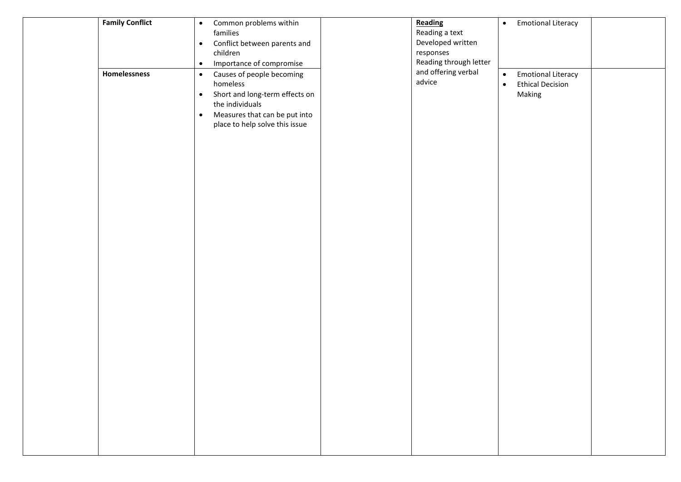| <b>Family Conflict</b> | Common problems within<br>$\bullet$<br>families<br>Conflict between parents and<br>$\bullet$<br>children<br>Importance of compromise<br>$\bullet$                                                    | Reading<br>Reading a text<br>Developed written<br>responses<br>Reading through letter | <b>Emotional Literacy</b><br>$\bullet$                                                   |  |
|------------------------|------------------------------------------------------------------------------------------------------------------------------------------------------------------------------------------------------|---------------------------------------------------------------------------------------|------------------------------------------------------------------------------------------|--|
| Homelessness           | Causes of people becoming<br>$\bullet$<br>homeless<br>Short and long-term effects on<br>$\bullet$<br>the individuals<br>Measures that can be put into<br>$\bullet$<br>place to help solve this issue | and offering verbal<br>advice                                                         | <b>Emotional Literacy</b><br>$\bullet$<br><b>Ethical Decision</b><br>$\bullet$<br>Making |  |
|                        |                                                                                                                                                                                                      |                                                                                       |                                                                                          |  |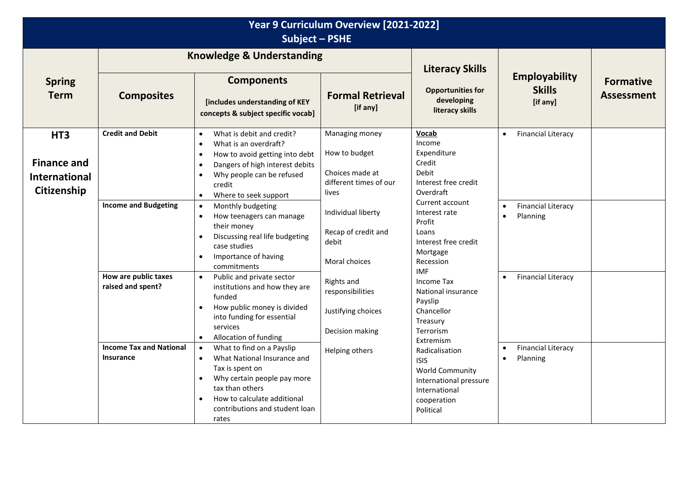| Year 9 Curriculum Overview [2021-2022]<br><b>Subject - PSHE</b>              |                                                                                                                                                           |                                                                                                                                                                                                                                                                                                                                                                                                                                                                                                                                                                                                                                                                                                                                                                                                                                                                                                                                                                    |                                                                                                                                                                                                                                                           |                                                                                                                                                                                                                                                                                                                                                                                                                                                          |                                                                                                                                                                                 |                                       |
|------------------------------------------------------------------------------|-----------------------------------------------------------------------------------------------------------------------------------------------------------|--------------------------------------------------------------------------------------------------------------------------------------------------------------------------------------------------------------------------------------------------------------------------------------------------------------------------------------------------------------------------------------------------------------------------------------------------------------------------------------------------------------------------------------------------------------------------------------------------------------------------------------------------------------------------------------------------------------------------------------------------------------------------------------------------------------------------------------------------------------------------------------------------------------------------------------------------------------------|-----------------------------------------------------------------------------------------------------------------------------------------------------------------------------------------------------------------------------------------------------------|----------------------------------------------------------------------------------------------------------------------------------------------------------------------------------------------------------------------------------------------------------------------------------------------------------------------------------------------------------------------------------------------------------------------------------------------------------|---------------------------------------------------------------------------------------------------------------------------------------------------------------------------------|---------------------------------------|
|                                                                              |                                                                                                                                                           | <b>Knowledge &amp; Understanding</b>                                                                                                                                                                                                                                                                                                                                                                                                                                                                                                                                                                                                                                                                                                                                                                                                                                                                                                                               |                                                                                                                                                                                                                                                           | <b>Literacy Skills</b>                                                                                                                                                                                                                                                                                                                                                                                                                                   |                                                                                                                                                                                 |                                       |
| <b>Spring</b><br><b>Term</b>                                                 | <b>Composites</b>                                                                                                                                         | <b>Components</b><br>[includes understanding of KEY<br>concepts & subject specific vocab]                                                                                                                                                                                                                                                                                                                                                                                                                                                                                                                                                                                                                                                                                                                                                                                                                                                                          | <b>Formal Retrieval</b><br>[if any]                                                                                                                                                                                                                       | <b>Opportunities for</b><br>developing<br>literacy skills                                                                                                                                                                                                                                                                                                                                                                                                | <b>Employability</b><br><b>Skills</b><br>[if any]                                                                                                                               | <b>Formative</b><br><b>Assessment</b> |
| HT <sub>3</sub><br><b>Finance and</b><br><b>International</b><br>Citizenship | <b>Credit and Debit</b><br><b>Income and Budgeting</b><br>How are public taxes<br>raised and spent?<br><b>Income Tax and National</b><br><b>Insurance</b> | What is debit and credit?<br>$\bullet$<br>What is an overdraft?<br>$\bullet$<br>How to avoid getting into debt<br>$\bullet$<br>Dangers of high interest debits<br>$\bullet$<br>Why people can be refused<br>$\bullet$<br>credit<br>Where to seek support<br>$\bullet$<br>Monthly budgeting<br>$\bullet$<br>How teenagers can manage<br>$\bullet$<br>their money<br>Discussing real life budgeting<br>$\bullet$<br>case studies<br>Importance of having<br>$\bullet$<br>commitments<br>Public and private sector<br>$\bullet$<br>institutions and how they are<br>funded<br>How public money is divided<br>$\bullet$<br>into funding for essential<br>services<br>Allocation of funding<br>$\bullet$<br>What to find on a Payslip<br>$\bullet$<br>What National Insurance and<br>$\bullet$<br>Tax is spent on<br>Why certain people pay more<br>$\bullet$<br>tax than others<br>How to calculate additional<br>$\bullet$<br>contributions and student loan<br>rates | Managing money<br>How to budget<br>Choices made at<br>different times of our<br>lives<br>Individual liberty<br>Recap of credit and<br>debit<br>Moral choices<br>Rights and<br>responsibilities<br>Justifying choices<br>Decision making<br>Helping others | <b>Vocab</b><br>Income<br>Expenditure<br>Credit<br>Debit<br>Interest free credit<br>Overdraft<br>Current account<br>Interest rate<br>Profit<br>Loans<br>Interest free credit<br>Mortgage<br>Recession<br><b>IMF</b><br>Income Tax<br>National insurance<br>Payslip<br>Chancellor<br>Treasury<br>Terrorism<br>Extremism<br>Radicalisation<br><b>ISIS</b><br><b>World Community</b><br>International pressure<br>International<br>cooperation<br>Political | <b>Financial Literacy</b><br>$\bullet$<br><b>Financial Literacy</b><br>Planning<br>$\bullet$<br><b>Financial Literacy</b><br><b>Financial Literacy</b><br>Planning<br>$\bullet$ |                                       |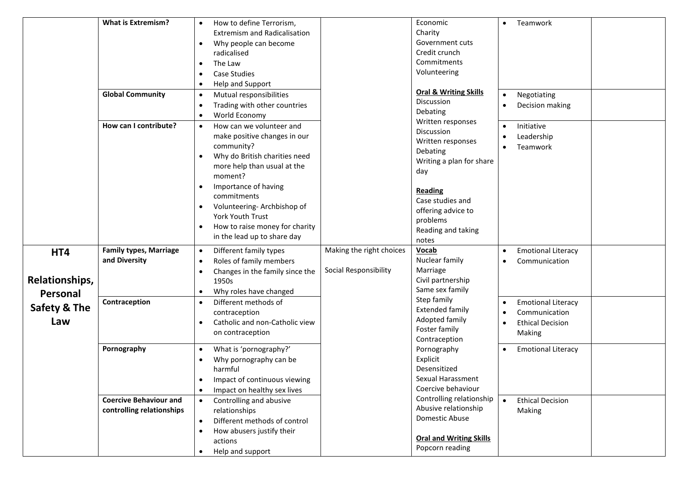|                | <b>What is Extremism?</b>     | How to define Terrorism,<br>$\bullet$        |                          | Economic                         | Teamwork<br>$\bullet$                |  |
|----------------|-------------------------------|----------------------------------------------|--------------------------|----------------------------------|--------------------------------------|--|
|                |                               | <b>Extremism and Radicalisation</b>          |                          | Charity                          |                                      |  |
|                |                               | Why people can become<br>$\bullet$           |                          | Government cuts                  |                                      |  |
|                |                               | radicalised                                  |                          | Credit crunch                    |                                      |  |
|                |                               | The Law<br>$\bullet$                         |                          | Commitments                      |                                      |  |
|                |                               | <b>Case Studies</b><br>$\bullet$             |                          | Volunteering                     |                                      |  |
|                |                               | Help and Support<br>$\bullet$                |                          |                                  |                                      |  |
|                | <b>Global Community</b>       | Mutual responsibilities<br>$\bullet$         |                          | <b>Oral &amp; Writing Skills</b> | Negotiating                          |  |
|                |                               | Trading with other countries<br>$\bullet$    |                          | Discussion                       | Decision making                      |  |
|                |                               | World Economy<br>$\bullet$                   |                          | Debating<br>Written responses    |                                      |  |
|                | How can I contribute?         | How can we volunteer and<br>$\bullet$        |                          | <b>Discussion</b>                | Initiative                           |  |
|                |                               | make positive changes in our                 |                          | Written responses                | Leadership                           |  |
|                |                               | community?                                   |                          | Debating                         | Teamwork                             |  |
|                |                               | Why do British charities need<br>$\bullet$   |                          | Writing a plan for share         |                                      |  |
|                |                               | more help than usual at the                  |                          | day                              |                                      |  |
|                |                               | moment?                                      |                          |                                  |                                      |  |
|                |                               | Importance of having                         |                          | <b>Reading</b>                   |                                      |  |
|                |                               | commitments                                  |                          | Case studies and                 |                                      |  |
|                |                               | Volunteering-Archbishop of                   |                          | offering advice to               |                                      |  |
|                |                               | York Youth Trust                             |                          | problems                         |                                      |  |
|                |                               | How to raise money for charity<br>$\bullet$  |                          | Reading and taking               |                                      |  |
|                |                               | in the lead up to share day                  |                          | notes                            |                                      |  |
| HT4            | <b>Family types, Marriage</b> | Different family types<br>$\bullet$          | Making the right choices | Vocab                            | <b>Emotional Literacy</b>            |  |
|                | and Diversity                 | Roles of family members<br>$\bullet$         |                          | Nuclear family                   | Communication                        |  |
|                |                               | Changes in the family since the<br>$\bullet$ | Social Responsibility    | Marriage                         |                                      |  |
| Relationships, |                               | 1950s                                        |                          | Civil partnership                |                                      |  |
| Personal       |                               | Why roles have changed<br>$\bullet$          |                          | Same sex family<br>Step family   |                                      |  |
| Safety & The   | Contraception                 | Different methods of<br>$\bullet$            |                          | <b>Extended family</b>           | <b>Emotional Literacy</b>            |  |
|                |                               | contraception                                |                          | Adopted family                   | Communication                        |  |
| Law            |                               | Catholic and non-Catholic view<br>$\bullet$  |                          | Foster family                    | <b>Ethical Decision</b>              |  |
|                |                               | on contraception                             |                          | Contraception                    | Making                               |  |
|                | Pornography                   | What is 'pornography?'<br>$\bullet$          |                          | Pornography                      | <b>Emotional Literacy</b>            |  |
|                |                               | Why pornography can be<br>$\bullet$          |                          | Explicit                         |                                      |  |
|                |                               | harmful                                      |                          | Desensitized                     |                                      |  |
|                |                               | Impact of continuous viewing                 |                          | Sexual Harassment                |                                      |  |
|                |                               | Impact on healthy sex lives<br>$\bullet$     |                          | Coercive behaviour               |                                      |  |
|                | <b>Coercive Behaviour and</b> | Controlling and abusive<br>$\bullet$         |                          | Controlling relationship         | <b>Ethical Decision</b><br>$\bullet$ |  |
|                | controlling relationships     | relationships                                |                          | Abusive relationship             | Making                               |  |
|                |                               | Different methods of control<br>$\bullet$    |                          | Domestic Abuse                   |                                      |  |
|                |                               | How abusers justify their<br>$\bullet$       |                          |                                  |                                      |  |
|                |                               | actions                                      |                          | <b>Oral and Writing Skills</b>   |                                      |  |
|                |                               | Help and support<br>$\bullet$                |                          | Popcorn reading                  |                                      |  |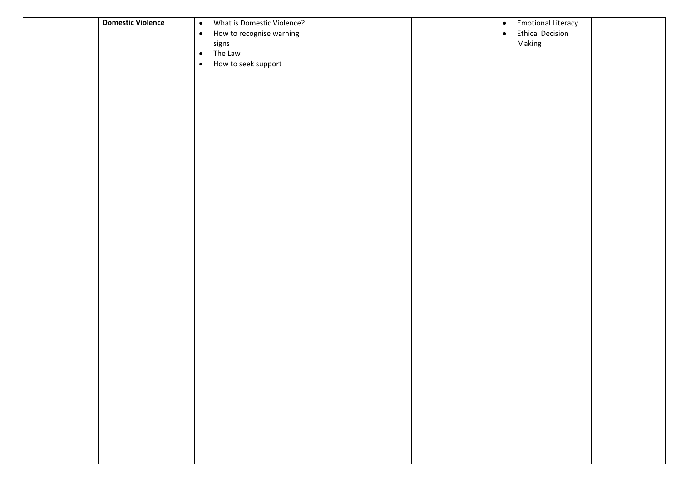| <b>Domestic Violence</b> | What is Domestic Violence?<br>$\bullet$<br>$\bullet$<br>How to recognise warning<br>signs<br>The Law<br>$\bullet$<br>How to seek support<br>$\bullet$ |  | <b>Emotional Literacy</b><br>$\bullet$<br><b>Ethical Decision</b><br>$\bullet$<br>Making |  |
|--------------------------|-------------------------------------------------------------------------------------------------------------------------------------------------------|--|------------------------------------------------------------------------------------------|--|
|                          |                                                                                                                                                       |  |                                                                                          |  |
|                          |                                                                                                                                                       |  |                                                                                          |  |
|                          |                                                                                                                                                       |  |                                                                                          |  |
|                          |                                                                                                                                                       |  |                                                                                          |  |
|                          |                                                                                                                                                       |  |                                                                                          |  |
|                          |                                                                                                                                                       |  |                                                                                          |  |
|                          |                                                                                                                                                       |  |                                                                                          |  |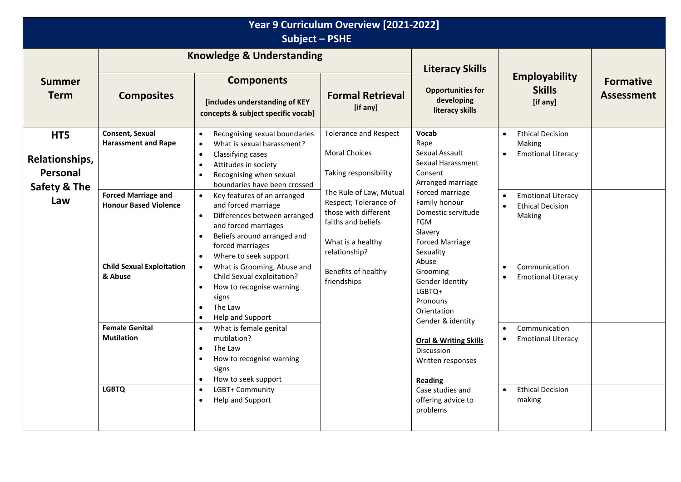| Year 9 Curriculum Overview [2021-2022]<br><b>Subject - PSHE</b> |                                                                                                                                                                                                                                                                                                                                                                                                                                                  |                                                                                                                                                                                                                                      |                                                                               |                                                                                             |                                                                                          |                                       |
|-----------------------------------------------------------------|--------------------------------------------------------------------------------------------------------------------------------------------------------------------------------------------------------------------------------------------------------------------------------------------------------------------------------------------------------------------------------------------------------------------------------------------------|--------------------------------------------------------------------------------------------------------------------------------------------------------------------------------------------------------------------------------------|-------------------------------------------------------------------------------|---------------------------------------------------------------------------------------------|------------------------------------------------------------------------------------------|---------------------------------------|
|                                                                 |                                                                                                                                                                                                                                                                                                                                                                                                                                                  | <b>Knowledge &amp; Understanding</b>                                                                                                                                                                                                 |                                                                               | <b>Literacy Skills</b>                                                                      |                                                                                          |                                       |
| <b>Summer</b><br><b>Term</b>                                    | <b>Composites</b>                                                                                                                                                                                                                                                                                                                                                                                                                                | <b>Components</b><br>[includes understanding of KEY<br>concepts & subject specific vocab]                                                                                                                                            | <b>Formal Retrieval</b><br>[if any]                                           | <b>Opportunities for</b><br>developing<br>literacy skills                                   | <b>Employability</b><br><b>Skills</b><br>[if any]                                        | <b>Formative</b><br><b>Assessment</b> |
| HT5<br>Relationships,<br>Personal<br><b>Safety &amp; The</b>    | Consent, Sexual<br><b>Harassment and Rape</b>                                                                                                                                                                                                                                                                                                                                                                                                    | Recognising sexual boundaries<br>$\bullet$<br>What is sexual harassment?<br>$\bullet$<br>Classifying cases<br>$\bullet$<br>Attitudes in society<br>$\bullet$<br>Recognising when sexual<br>$\bullet$<br>boundaries have been crossed | <b>Tolerance and Respect</b><br><b>Moral Choices</b><br>Taking responsibility | <b>Vocab</b><br>Rape<br>Sexual Assault<br>Sexual Harassment<br>Consent<br>Arranged marriage | <b>Ethical Decision</b><br>$\bullet$<br>Making<br><b>Emotional Literacy</b><br>$\bullet$ |                                       |
| Law                                                             | The Rule of Law, Mutual<br><b>Forced Marriage and</b><br>Key features of an arranged<br>$\bullet$<br>Respect; Tolerance of<br><b>Honour Based Violence</b><br>and forced marriage<br>those with different<br>Differences between arranged<br>$\bullet$<br>faiths and beliefs<br>and forced marriages<br>Beliefs around arranged and<br>$\bullet$<br>What is a healthy<br>forced marriages<br>relationship?<br>Where to seek support<br>$\bullet$ | Forced marriage<br>Family honour<br>Domestic servitude<br><b>FGM</b><br>Slavery<br><b>Forced Marriage</b><br>Sexuality<br>Abuse                                                                                                      | <b>Emotional Literacy</b><br><b>Ethical Decision</b><br>$\bullet$<br>Making   |                                                                                             |                                                                                          |                                       |
|                                                                 | <b>Child Sexual Exploitation</b><br>& Abuse                                                                                                                                                                                                                                                                                                                                                                                                      | What is Grooming, Abuse and<br>$\bullet$<br>Child Sexual exploitation?<br>How to recognise warning<br>$\bullet$<br>signs<br>The Law<br>$\bullet$<br>Help and Support<br>$\bullet$                                                    | Benefits of healthy<br>friendships                                            | Grooming<br>Gender Identity<br>LGBTQ+<br>Pronouns<br>Orientation<br>Gender & identity       | Communication<br>$\bullet$<br><b>Emotional Literacy</b>                                  |                                       |
|                                                                 | <b>Female Genital</b><br><b>Mutilation</b>                                                                                                                                                                                                                                                                                                                                                                                                       | What is female genital<br>$\bullet$<br>mutilation?<br>The Law<br>$\bullet$<br>How to recognise warning<br>$\bullet$<br>signs<br>How to seek support<br>$\bullet$                                                                     |                                                                               | <b>Oral &amp; Writing Skills</b><br>Discussion<br>Written responses<br><b>Reading</b>       | Communication<br>$\bullet$<br><b>Emotional Literacy</b><br>٠                             |                                       |
|                                                                 | <b>LGBTQ</b>                                                                                                                                                                                                                                                                                                                                                                                                                                     | LGBT+ Community<br>$\bullet$<br>Help and Support<br>$\bullet$                                                                                                                                                                        |                                                                               | Case studies and<br>offering advice to<br>problems                                          | <b>Ethical Decision</b><br>$\bullet$<br>making                                           |                                       |